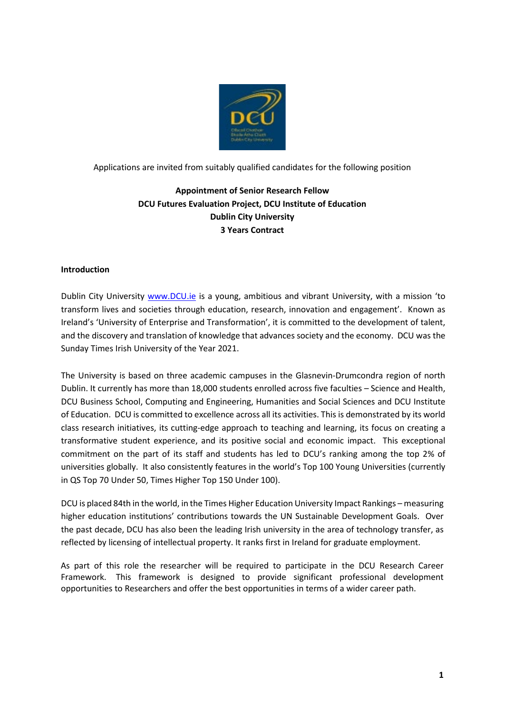

Applications are invited from suitably qualified candidates for the following position

# **Appointment of Senior Research Fellow DCU Futures Evaluation Project, DCU Institute of Education Dublin City University 3 Years Contract**

# **Introduction**

Dublin City University [www.DCU.ie](http://www.dcu.ie/) is a young, ambitious and vibrant University, with a mission 'to transform lives and societies through education, research, innovation and engagement'. Known as Ireland's 'University of Enterprise and Transformation', it is committed to the development of talent, and the discovery and translation of knowledge that advances society and the economy. DCU was the Sunday Times Irish University of the Year 2021.

The University is based on three academic campuses in the Glasnevin-Drumcondra region of north Dublin. It currently has more than 18,000 students enrolled across five faculties – Science and Health, DCU Business School, Computing and Engineering, Humanities and Social Sciences and DCU Institute of Education. DCU is committed to excellence across all its activities. This is demonstrated by its world class research initiatives, its cutting-edge approach to teaching and learning, its focus on creating a transformative student experience, and its positive social and economic impact. This exceptional commitment on the part of its staff and students has led to DCU's ranking among the top 2% of universities globally. It also consistently features in the world's Top 100 Young Universities (currently in QS Top 70 Under 50, Times Higher Top 150 Under 100).

DCU is placed 84th in the world, in the Times Higher Education University Impact Rankings – measuring higher education institutions' contributions towards the UN Sustainable Development Goals. Over the past decade, DCU has also been the leading Irish university in the area of technology transfer, as reflected by licensing of intellectual property. It ranks first in Ireland for graduate employment.

As part of this role the researcher will be required to participate in the DCU Research Career Framework. This framework is designed to provide significant professional development opportunities to Researchers and offer the best opportunities in terms of a wider career path.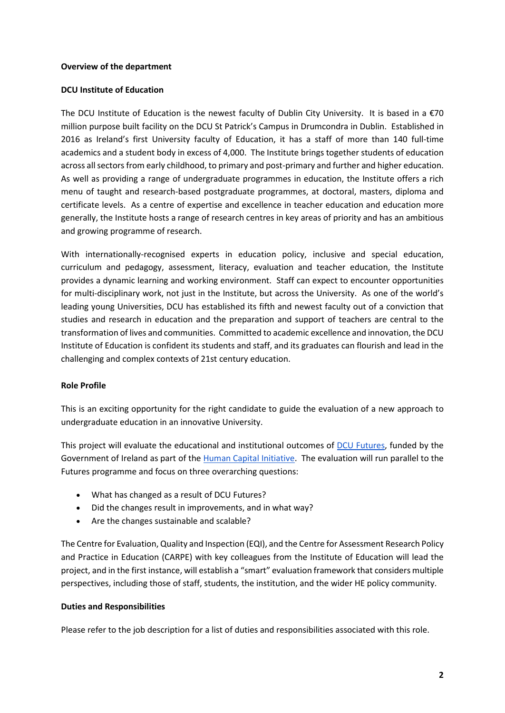### **Overview of the department**

### **DCU Institute of Education**

The DCU Institute of Education is the newest faculty of Dublin City University. It is based in a  $\epsilon$ 70 million purpose built facility on the DCU St Patrick's Campus in Drumcondra in Dublin. Established in 2016 as Ireland's first University faculty of Education, it has a staff of more than 140 full-time academics and a student body in excess of 4,000. The Institute brings together students of education across all sectors from early childhood, to primary and post-primary and further and higher education. As well as providing a range of undergraduate programmes in education, the Institute offers a rich menu of taught and research-based postgraduate programmes, at doctoral, masters, diploma and certificate levels. As a centre of expertise and excellence in teacher education and education more generally, the Institute hosts a range of research centres in key areas of priority and has an ambitious and growing programme of research.

With internationally-recognised experts in education policy, inclusive and special education, curriculum and pedagogy, assessment, literacy, evaluation and teacher education, the Institute provides a dynamic learning and working environment. Staff can expect to encounter opportunities for multi-disciplinary work, not just in the Institute, but across the University. As one of the world's leading young Universities, DCU has established its fifth and newest faculty out of a conviction that studies and research in education and the preparation and support of teachers are central to the transformation of lives and communities. Committed to academic excellence and innovation, the DCU Institute of Education is confident its students and staff, and its graduates can flourish and lead in the challenging and complex contexts of 21st century education.

# **Role Profile**

This is an exciting opportunity for the right candidate to guide the evaluation of a new approach to undergraduate education in an innovative University.

This project will evaluate the educational and institutional outcomes of [DCU Futures,](https://supporthere.org/sites/default/files/012_dcu_futures-preparing_our_graduates_for_a_rapidly_evolving_and_unpredictable_future.pdf) funded by the Government of Ireland as part of th[e Human Capital Initiative.](https://www.dcu.ie/news/2020/oct/dcu-project-awarded-eu20-million-investment-under-government-human-capital-initiative?fbclid=IwAR3dxrgio6u0JCa395Sdy4eKKrmExyeFwI21v567u0dypiZcAKO2wRw9ECE) The evaluation will run parallel to the Futures programme and focus on three overarching questions:

- What has changed as a result of DCU Futures?
- Did the changes result in improvements, and in what way?
- Are the changes sustainable and scalable?

The Centre for Evaluation, Quality and Inspection (EQI), and the Centre for Assessment Research Policy and Practice in Education (CARPE) with key colleagues from the Institute of Education will lead the project, and in the first instance, will establish a "smart" evaluation framework that considers multiple perspectives, including those of staff, students, the institution, and the wider HE policy community.

#### **Duties and Responsibilities**

Please refer to the job description for a list of duties and responsibilities associated with this role.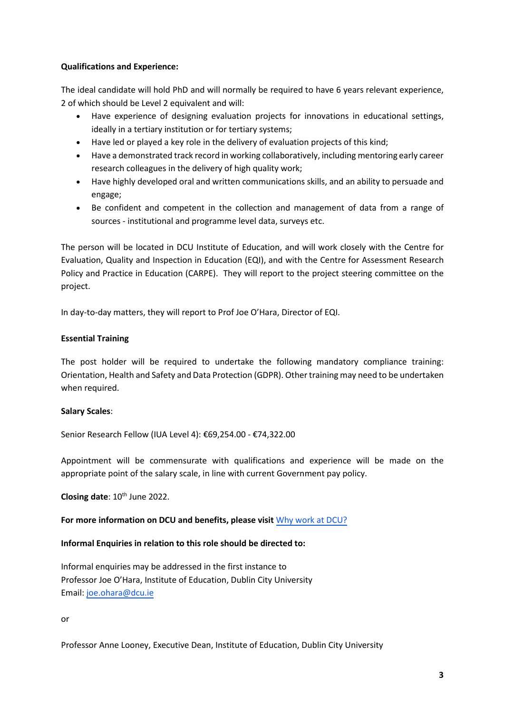## **Qualifications and Experience:**

The ideal candidate will hold PhD and will normally be required to have 6 years relevant experience, 2 of which should be Level 2 equivalent and will:

- Have experience of designing evaluation projects for innovations in educational settings, ideally in a tertiary institution or for tertiary systems;
- Have led or played a key role in the delivery of evaluation projects of this kind;
- Have a demonstrated track record in working collaboratively, including mentoring early career research colleagues in the delivery of high quality work;
- Have highly developed oral and written communications skills, and an ability to persuade and engage;
- Be confident and competent in the collection and management of data from a range of sources - institutional and programme level data, surveys etc.

The person will be located in DCU Institute of Education, and will work closely with the Centre for Evaluation, Quality and Inspection in Education (EQI), and with the Centre for Assessment Research Policy and Practice in Education (CARPE). They will report to the project steering committee on the project.

In day-to-day matters, they will report to Prof Joe O'Hara, Director of EQI.

# **Essential Training**

The post holder will be required to undertake the following mandatory compliance training: Orientation, Health and Safety and Data Protection (GDPR). Other training may need to be undertaken when required.

# **Salary Scales**:

Senior Research Fellow (IUA Level 4): €69,254.00 - €74,322.00

Appointment will be commensurate with qualifications and experience will be made on the appropriate point of the salary scale, in line with current Government pay policy.

Closing date: 10<sup>th</sup> June 2022.

# **For more information on DCU and benefits, please visit** [Why work](https://www.dcu.ie/hr/why-work-dcu) at DCU?

#### **Informal Enquiries in relation to this role should be directed to:**

Informal enquiries may be addressed in the first instance to Professor Joe O'Hara, Institute of Education, Dublin City University Email: [joe.ohara@dcu.ie](mailto:joe.ohara@dcu.ie)

or

Professor Anne Looney, Executive Dean, Institute of Education, Dublin City University